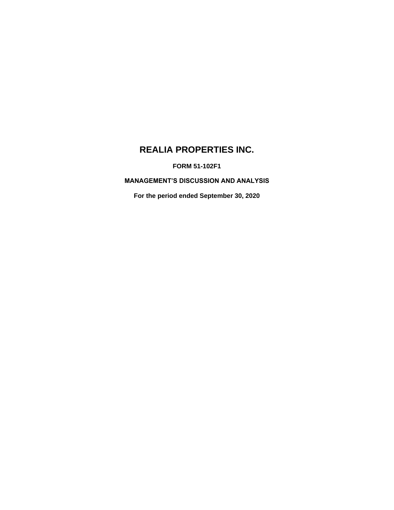# **REALIA PROPERTIES INC.**

**FORM 51-102F1**

**MANAGEMENT'S DISCUSSION AND ANALYSIS**

**For the period ended September 30, 2020**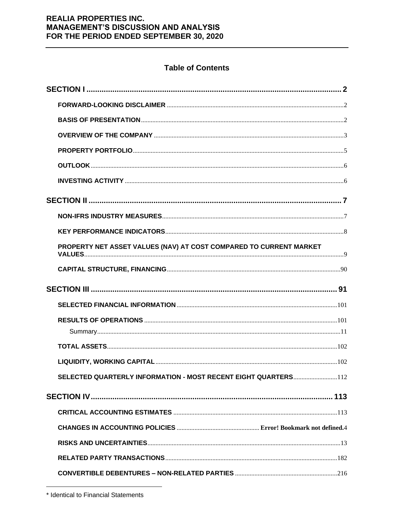## **Table of Contents**

| PROPERTY NET ASSET VALUES (NAV) AT COST COMPARED TO CURRENT MARKET |  |
|--------------------------------------------------------------------|--|
|                                                                    |  |
|                                                                    |  |
|                                                                    |  |
|                                                                    |  |
|                                                                    |  |
|                                                                    |  |
|                                                                    |  |
|                                                                    |  |
| SELECTED QUARTERLY INFORMATION - MOST RECENT EIGHT QUARTERS112     |  |
|                                                                    |  |
|                                                                    |  |
|                                                                    |  |
|                                                                    |  |
|                                                                    |  |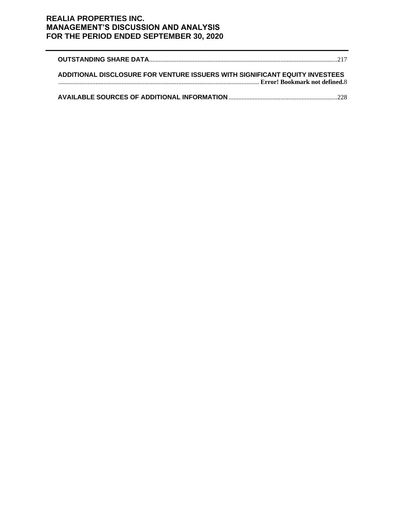| ADDITIONAL DISCLOSURE FOR VENTURE ISSUERS WITH SIGNIFICANT EQUITY INVESTEES |  |
|-----------------------------------------------------------------------------|--|
|                                                                             |  |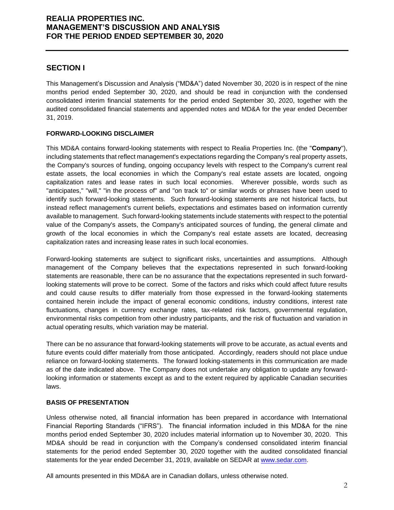### **SECTION I**

This Management's Discussion and Analysis ("MD&A") dated November 30, 2020 is in respect of the nine months period ended September 30, 2020, and should be read in conjunction with the condensed consolidated interim financial statements for the period ended September 30, 2020, together with the audited consolidated financial statements and appended notes and MD&A for the year ended December 31, 2019.

### **FORWARD-LOOKING DISCLAIMER**

This MD&A contains forward-looking statements with respect to Realia Properties Inc. (the "**Company**"), including statements that reflect management's expectations regarding the Company's real property assets, the Company's sources of funding, ongoing occupancy levels with respect to the Company's current real estate assets, the local economies in which the Company's real estate assets are located, ongoing capitalization rates and lease rates in such local economies. Wherever possible, words such as "anticipates," "will," "in the process of" and "on track to" or similar words or phrases have been used to identify such forward-looking statements. Such forward-looking statements are not historical facts, but instead reflect management's current beliefs, expectations and estimates based on information currently available to management. Such forward-looking statements include statements with respect to the potential value of the Company's assets, the Company's anticipated sources of funding, the general climate and growth of the local economies in which the Company's real estate assets are located, decreasing capitalization rates and increasing lease rates in such local economies.

Forward-looking statements are subject to significant risks, uncertainties and assumptions. Although management of the Company believes that the expectations represented in such forward-looking statements are reasonable, there can be no assurance that the expectations represented in such forwardlooking statements will prove to be correct. Some of the factors and risks which could affect future results and could cause results to differ materially from those expressed in the forward-looking statements contained herein include the impact of general economic conditions, industry conditions, interest rate fluctuations, changes in currency exchange rates, tax-related risk factors, governmental regulation, environmental risks competition from other industry participants, and the risk of fluctuation and variation in actual operating results, which variation may be material.

There can be no assurance that forward-looking statements will prove to be accurate, as actual events and future events could differ materially from those anticipated. Accordingly, readers should not place undue reliance on forward-looking statements. The forward looking-statements in this communication are made as of the date indicated above. The Company does not undertake any obligation to update any forwardlooking information or statements except as and to the extent required by applicable Canadian securities laws.

### **BASIS OF PRESENTATION**

Unless otherwise noted, all financial information has been prepared in accordance with International Financial Reporting Standards ("IFRS"). The financial information included in this MD&A for the nine months period ended September 30, 2020 includes material information up to November 30, 2020. This MD&A should be read in conjunction with the Company's condensed consolidated interim financial statements for the period ended September 30, 2020 together with the audited consolidated financial statements for the year ended December 31, 2019, available on SEDAR at [www.sedar.com.](http://www.sedar.com/)

All amounts presented in this MD&A are in Canadian dollars, unless otherwise noted.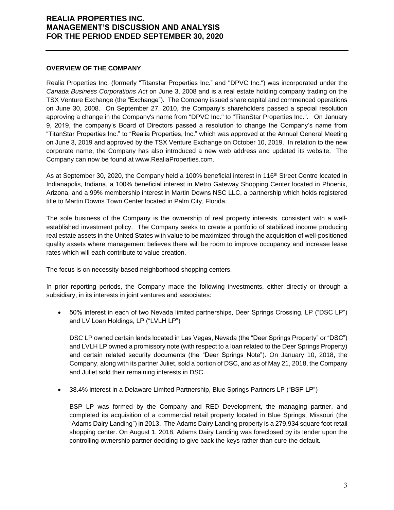#### **OVERVIEW OF THE COMPANY**

Realia Properties Inc. (formerly "Titanstar Properties Inc." and "DPVC Inc.") was incorporated under the *Canada Business Corporations Act* on June 3, 2008 and is a real estate holding company trading on the TSX Venture Exchange (the "Exchange"). The Company issued share capital and commenced operations on June 30, 2008. On September 27, 2010, the Company's shareholders passed a special resolution approving a change in the Company's name from "DPVC Inc." to "TitanStar Properties Inc.". On January 9, 2019, the company's Board of Directors passed a resolution to change the Company's name from "TitanStar Properties Inc." to "Realia Properties, Inc." which was approved at the Annual General Meeting on June 3, 2019 and approved by the TSX Venture Exchange on October 10, 2019. In relation to the new corporate name, the Company has also introduced a new web address and updated its website. The Company can now be found at www.RealiaProperties.com.

As at September 30, 2020, the Company held a 100% beneficial interest in 116<sup>th</sup> Street Centre located in Indianapolis, Indiana, a 100% beneficial interest in Metro Gateway Shopping Center located in Phoenix, Arizona, and a 99% membership interest in Martin Downs NSC LLC, a partnership which holds registered title to Martin Downs Town Center located in Palm City, Florida.

The sole business of the Company is the ownership of real property interests, consistent with a wellestablished investment policy. The Company seeks to create a portfolio of stabilized income producing real estate assets in the United States with value to be maximized through the acquisition of well-positioned quality assets where management believes there will be room to improve occupancy and increase lease rates which will each contribute to value creation.

The focus is on necessity-based neighborhood shopping centers.

In prior reporting periods, the Company made the following investments, either directly or through a subsidiary, in its interests in joint ventures and associates:

• 50% interest in each of two Nevada limited partnerships, Deer Springs Crossing, LP ("DSC LP") and LV Loan Holdings, LP ("LVLH LP")

DSC LP owned certain lands located in Las Vegas, Nevada (the "Deer Springs Property" or "DSC") and LVLH LP owned a promissory note (with respect to a loan related to the Deer Springs Property) and certain related security documents (the "Deer Springs Note"). On January 10, 2018, the Company, along with its partner Juliet, sold a portion of DSC, and as of May 21, 2018, the Company and Juliet sold their remaining interests in DSC.

• 38.4% interest in a Delaware Limited Partnership, Blue Springs Partners LP ("BSP LP")

BSP LP was formed by the Company and RED Development, the managing partner, and completed its acquisition of a commercial retail property located in Blue Springs, Missouri (the "Adams Dairy Landing") in 2013. The Adams Dairy Landing property is a 279,934 square foot retail shopping center. On August 1, 2018, Adams Dairy Landing was foreclosed by its lender upon the controlling ownership partner deciding to give back the keys rather than cure the default.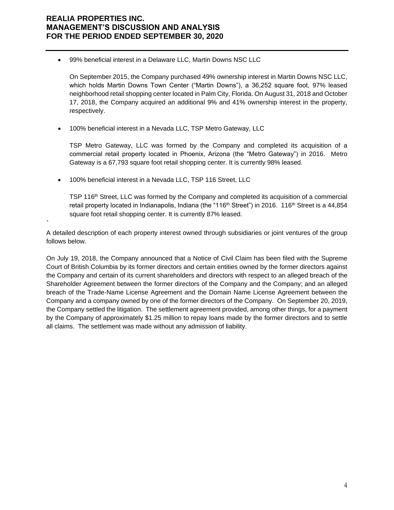• 99% beneficial interest in a Delaware LLC, Martin Downs NSC LLC

On September 2015, the Company purchased 49% ownership interest in Martin Downs NSC LLC, which holds Martin Downs Town Center ("Martin Downs"), a 36,252 square foot, 97% leased neighborhood retail shopping center located in Palm City, Florida. On August 31, 2018 and October 17, 2018, the Company acquired an additional 9% and 41% ownership interest in the property, respectively.

• 100% beneficial interest in a Nevada LLC, TSP Metro Gateway, LLC

TSP Metro Gateway, LLC was formed by the Company and completed its acquisition of a commercial retail property located in Phoenix, Arizona (the "Metro Gateway") in 2016. Metro Gateway is a 67,793 square foot retail shopping center. It is currently 98% leased.

• 100% beneficial interest in a Nevada LLC, TSP 116 Street, LLC

`

TSP 116th Street, LLC was formed by the Company and completed its acquisition of a commercial retail property located in Indianapolis, Indiana (the "116<sup>th</sup> Street") in 2016. 116<sup>th</sup> Street is a 44,854 square foot retail shopping center. It is currently 87% leased.

A detailed description of each property interest owned through subsidiaries or joint ventures of the group follows below.

On July 19, 2018, the Company announced that a Notice of Civil Claim has been filed with the Supreme Court of British Columbia by its former directors and certain entities owned by the former directors against the Company and certain of its current shareholders and directors with respect to an alleged breach of the Shareholder Agreement between the former directors of the Company and the Company; and an alleged breach of the Trade-Name License Agreement and the Domain Name License Agreement between the Company and a company owned by one of the former directors of the Company. On September 20, 2019, the Company settled the litigation. The settlement agreement provided, among other things, for a payment by the Company of approximately \$1.25 million to repay loans made by the former directors and to settle all claims. The settlement was made without any admission of liability.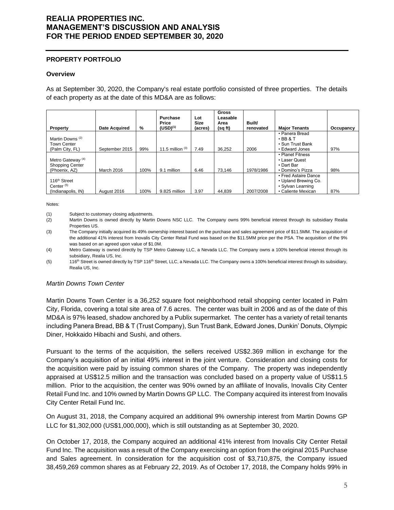#### **PROPERTY PORTFOLIO**

#### **Overview**

As at September 30, 2020, the Company's real estate portfolio consisted of three properties. The details of each property as at the date of this MD&A are as follows:

| Property                                                                | <b>Date Acquired</b> | %    | <b>Purchase</b><br>Price<br>$(USD)^{(1)}$ | Lot<br>Size<br>(acres) | <b>Gross</b><br>Leasable<br>Area<br>(sq ft) | Built/<br>renovated | <b>Major Tenants</b>                                                                    | Occupancy |
|-------------------------------------------------------------------------|----------------------|------|-------------------------------------------|------------------------|---------------------------------------------|---------------------|-----------------------------------------------------------------------------------------|-----------|
| Martin Downs <sup>(2)</sup><br><b>Town Center</b><br>(Palm City, FL)    | September 2015       | 99%  | 11.5 million $(3)$                        | 7.49                   | 36.252                                      | 2006                | • Panera Bread<br>$\cdot$ BB & T<br>• Sun Trust Bank<br>• Edward Jones                  | 97%       |
| Metro Gateway <sup>(4)</sup><br><b>Shopping Center</b><br>(Phoenix, AZ) | March 2016           | 100% | 9.1 million                               | 6.46                   | 73.146                                      | 1978/1986           | • Planet Fitness<br>• Laser Quest<br>• Dart Bar<br>• Domino's Pizza                     | 98%       |
| 116 <sup>th</sup> Street<br>Center $(5)$<br>(Indianapolis, IN)          | August 2016          | 100% | 9.825 million                             | 3.97                   | 44.839                                      | 2007/2008           | • Fred Astaire Dance<br>• Upland Brewing Co.<br>• Sylvan Learning<br>• Caliente Mexican | 87%       |

Notes:

(1) Subject to customary closing adjustments.

- (2) Martin Downs is owned directly by Martin Downs NSC LLC. The Company owns 99% beneficial interest through its subsidiary Realia Properties US.
- (3) The Company initially acquired its 49% ownership interest based on the purchase and sales agreement price of \$11.5MM. The acquisition of the additional 41% interest from Inovalis City Center Retail Fund was based on the \$11.5MM price per the PSA. The acquisition of the 9% was based on an agreed upon value of \$1.0M.
- (4) Metro Gateway is owned directly by TSP Metro Gateway LLC, a Nevada LLC. The Company owns a 100% beneficial interest through its subsidiary, Realia US, Inc.
- (5) 116<sup>th</sup> Street is owned directly by TSP 116<sup>th</sup> Street, LLC, a Nevada LLC. The Company owns a 100% beneficial interest through its subsidiary, Realia US, Inc.

### *Martin Downs Town Center*

Martin Downs Town Center is a 36,252 square foot neighborhood retail shopping center located in Palm City, Florida, covering a total site area of 7.6 acres. The center was built in 2006 and as of the date of this MD&A is 97% leased, shadow anchored by a Publix supermarket. The center has a variety of retail tenants including Panera Bread, BB & T (Trust Company), Sun Trust Bank, Edward Jones, Dunkin' Donuts, Olympic Diner, Hokkaido Hibachi and Sushi, and others.

Pursuant to the terms of the acquisition, the sellers received US\$2.369 million in exchange for the Company's acquisition of an initial 49% interest in the joint venture. Consideration and closing costs for the acquisition were paid by issuing common shares of the Company. The property was independently appraised at US\$12.5 million and the transaction was concluded based on a property value of US\$11.5 million. Prior to the acquisition, the center was 90% owned by an affiliate of Inovalis, Inovalis City Center Retail Fund Inc. and 10% owned by Martin Downs GP LLC. The Company acquired its interest from Inovalis City Center Retail Fund Inc.

On August 31, 2018, the Company acquired an additional 9% ownership interest from Martin Downs GP LLC for \$1,302,000 (US\$1,000,000), which is still outstanding as at September 30, 2020.

On October 17, 2018, the Company acquired an additional 41% interest from Inovalis City Center Retail Fund Inc. The acquisition was a result of the Company exercising an option from the original 2015 Purchase and Sales agreement. In consideration for the acquisition cost of \$3,710,875, the Company issued 38,459,269 common shares as at February 22, 2019. As of October 17, 2018, the Company holds 99% in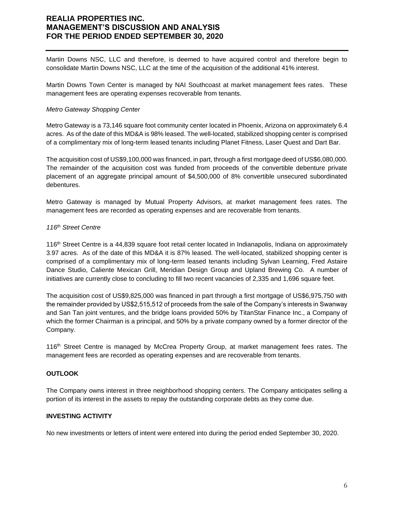Martin Downs NSC, LLC and therefore, is deemed to have acquired control and therefore begin to consolidate Martin Downs NSC, LLC at the time of the acquisition of the additional 41% interest.

Martin Downs Town Center is managed by NAI Southcoast at market management fees rates. These management fees are operating expenses recoverable from tenants.

#### *Metro Gateway Shopping Center*

Metro Gateway is a 73,146 square foot community center located in Phoenix, Arizona on approximately 6.4 acres. As of the date of this MD&A is 98% leased. The well-located, stabilized shopping center is comprised of a complimentary mix of long-term leased tenants including Planet Fitness, Laser Quest and Dart Bar.

The acquisition cost of US\$9,100,000 was financed, in part, through a first mortgage deed of US\$6,080,000. The remainder of the acquisition cost was funded from proceeds of the convertible debenture private placement of an aggregate principal amount of \$4,500,000 of 8% convertible unsecured subordinated debentures.

Metro Gateway is managed by Mutual Property Advisors, at market management fees rates. The management fees are recorded as operating expenses and are recoverable from tenants.

### *116th Street Centre*

116th Street Centre is a 44,839 square foot retail center located in Indianapolis, Indiana on approximately 3.97 acres. As of the date of this MD&A it is 87% leased. The well-located, stabilized shopping center is comprised of a complimentary mix of long-term leased tenants including Sylvan Learning, Fred Astaire Dance Studio, Caliente Mexican Grill, Meridian Design Group and Upland Brewing Co. A number of initiatives are currently close to concluding to fill two recent vacancies of 2,335 and 1,696 square feet.

The acquisition cost of US\$9,825,000 was financed in part through a first mortgage of US\$6,975,750 with the remainder provided by US\$2,515,512 of proceeds from the sale of the Company's interests in Swanway and San Tan joint ventures, and the bridge loans provided 50% by TitanStar Finance Inc., a Company of which the former Chairman is a principal, and 50% by a private company owned by a former director of the Company.

116th Street Centre is managed by McCrea Property Group, at market management fees rates. The management fees are recorded as operating expenses and are recoverable from tenants.

### **OUTLOOK**

The Company owns interest in three neighborhood shopping centers. The Company anticipates selling a portion of its interest in the assets to repay the outstanding corporate debts as they come due.

#### **INVESTING ACTIVITY**

No new investments or letters of intent were entered into during the period ended September 30, 2020.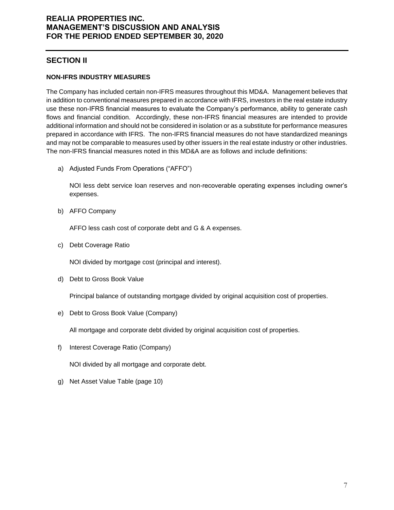## **SECTION II**

### **NON-IFRS INDUSTRY MEASURES**

The Company has included certain non-IFRS measures throughout this MD&A. Management believes that in addition to conventional measures prepared in accordance with IFRS, investors in the real estate industry use these non-IFRS financial measures to evaluate the Company's performance, ability to generate cash flows and financial condition. Accordingly, these non-IFRS financial measures are intended to provide additional information and should not be considered in isolation or as a substitute for performance measures prepared in accordance with IFRS. The non-IFRS financial measures do not have standardized meanings and may not be comparable to measures used by other issuers in the real estate industry or other industries. The non-IFRS financial measures noted in this MD&A are as follows and include definitions:

a) Adjusted Funds From Operations ("AFFO")

NOI less debt service loan reserves and non-recoverable operating expenses including owner's expenses.

b) AFFO Company

AFFO less cash cost of corporate debt and G & A expenses.

c) Debt Coverage Ratio

NOI divided by mortgage cost (principal and interest).

d) Debt to Gross Book Value

Principal balance of outstanding mortgage divided by original acquisition cost of properties.

e) Debt to Gross Book Value (Company)

All mortgage and corporate debt divided by original acquisition cost of properties.

f) Interest Coverage Ratio (Company)

NOI divided by all mortgage and corporate debt.

g) Net Asset Value Table (page 10)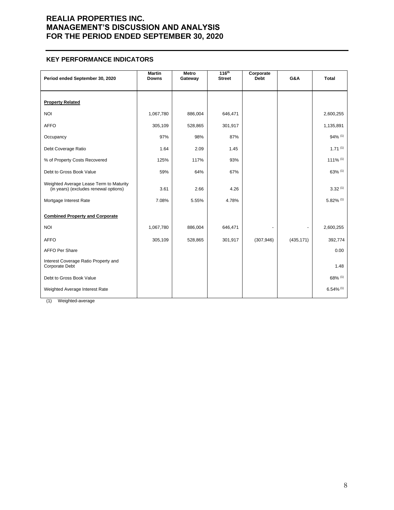### **KEY PERFORMANCE INDICATORS**

| Period ended September 30, 2020                                                  | <b>Martin</b><br><b>Downs</b> | Metro<br>Gateway | 116 <sup>th</sup><br><b>Street</b> | Corporate<br><b>Debt</b> | G&A        | <b>Total</b>            |
|----------------------------------------------------------------------------------|-------------------------------|------------------|------------------------------------|--------------------------|------------|-------------------------|
| <b>Property Related</b>                                                          |                               |                  |                                    |                          |            |                         |
| <b>NOI</b>                                                                       | 1,067,780                     | 886,004          | 646,471                            |                          |            | 2,600,255               |
| <b>AFFO</b>                                                                      | 305,109                       | 528,865          | 301,917                            |                          |            | 1,135,891               |
| Occupancy                                                                        | 97%                           | 98%              | 87%                                |                          |            | 94% (1)                 |
| Debt Coverage Ratio                                                              | 1.64                          | 2.09             | 1.45                               |                          |            | $1.71^{(1)}$            |
| % of Property Costs Recovered                                                    | 125%                          | 117%             | 93%                                |                          |            | 111% (1)                |
| Debt to Gross Book Value                                                         | 59%                           | 64%              | 67%                                |                          |            | 63% (1)                 |
| Weighted Average Lease Term to Maturity<br>(in years) (excludes renewal options) | 3.61                          | 2.66             | 4.26                               |                          |            | 3.32(1)                 |
| Mortgage Interest Rate                                                           | 7.08%                         | 5.55%            | 4.78%                              |                          |            | $5.82\%$ (1)            |
| <b>Combined Property and Corporate</b>                                           |                               |                  |                                    |                          |            |                         |
| <b>NOI</b>                                                                       | 1,067,780                     | 886,004          | 646,471                            |                          |            | 2,600,255               |
| <b>AFFO</b>                                                                      | 305,109                       | 528,865          | 301,917                            | (307, 946)               | (435, 171) | 392,774                 |
| <b>AFFO Per Share</b>                                                            |                               |                  |                                    |                          |            | 0.00                    |
| Interest Coverage Ratio Property and<br>Corporate Debt                           |                               |                  |                                    |                          |            | 1.48                    |
| Debt to Gross Book Value                                                         |                               |                  |                                    |                          |            | 68% (1)                 |
| Weighted Average Interest Rate                                                   |                               |                  |                                    |                          |            | $6.54\%$ <sup>(1)</sup> |

(1) Weighted-average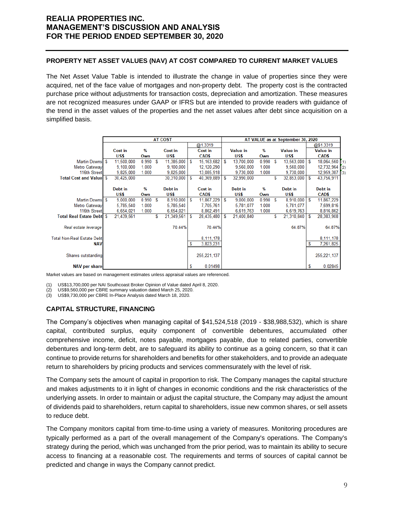### **PROPERTY NET ASSET VALUES (NAV) AT COST COMPARED TO CURRENT MARKET VALUES**

The Net Asset Value Table is intended to illustrate the change in value of properties since they were acquired, net of the face value of mortgages and non-property debt. The property cost is the contracted purchase price without adjustments for transaction costs, depreciation and amortization. These measures are not recognized measures under GAAP or IFRS but are intended to provide readers with guidance of the trend in the asset values of the properties and the net asset values after debt since acquisition on a simplified basis.

|                                   | <b>AT COST</b> |            |       |   |            |    |               | AT VALUE as at September 30, 2020 |                 |       |   |                   |   |                 |     |
|-----------------------------------|----------------|------------|-------|---|------------|----|---------------|-----------------------------------|-----------------|-------|---|-------------------|---|-----------------|-----|
|                                   |                |            |       |   |            |    | @1.3319       |                                   |                 |       |   |                   |   | @\$1.3319       |     |
|                                   |                | Cost in    | %     |   | Cost in    |    | Cost in       |                                   | <b>Value in</b> | %     |   | <b>Value in</b>   |   | <b>Value in</b> |     |
|                                   |                | US\$       | Own   |   | US\$       |    | CAD\$         |                                   | US\$            | Own   |   | US\$              |   | CAD\$           |     |
| Martin Downs \$                   |                | 11,500,000 | 0.990 | S | 11,385,000 | -S | 15, 163, 682  | S                                 | 13,700,000      | 0.990 | S | $13,563,000$ \ \$ |   | 18,064,560 (1)  |     |
| Metro Gateway                     |                | 9,100,000  | 1.000 |   | 9,100,000  |    | 12,120,290    |                                   | 9,560,000       | 1.000 |   | 9,560,000         |   | 12.732.964      | (2) |
| 116th Street                      |                | 9.825.000  | 1.000 |   | 9,825,000  |    | 13,085,918    |                                   | 9.730.000       | 1.000 |   | 9,730,000         |   | 12,959,387      | (3) |
| <b>Total Cost and Value \$</b>    |                | 30,425,000 |       |   | 30,310,000 | S  | 40,369,889    | S                                 | 32,990,000      |       | S | $32,853,000$ \ \$ |   | 43,756,911      |     |
|                                   |                |            |       |   |            |    |               |                                   |                 |       |   |                   |   |                 |     |
|                                   |                | Debt in    | %     |   | Debt in    |    | Cost in       |                                   | Debt in         | %     |   | Debt in           |   | Debt in         |     |
|                                   |                | US\$       | Own   |   | US\$       |    | CAD\$         |                                   | US\$            | Own   |   | US\$              |   | CAD\$           |     |
| Martin Downs S                    |                | 9,000,000  | 0.990 | S | 8,910,000  | S  | 11,867,229    | S                                 | 9,000,000       | 0.990 | s | $8.910.000$   \$  |   | 11,867,229      |     |
| Metro Gateway                     |                | 5,785,540  | 1.000 |   | 5,785,540  |    | 7,705,761     |                                   | 5,781,077       | 1.000 |   | 5,781,077         |   | 7,699,816       |     |
| 116th Street                      |                | 6,654,021  | 1.000 |   | 6,654,021  |    | 8,862,491     |                                   | 6,619,763       | 1.000 |   | 6,619,763         |   | 8,816,862       |     |
| <b>Total Real Estate Debtl \$</b> |                | 21,439,561 |       | S | 21,349,561 | S  | 28,435,480    | S                                 | 21,400,840      |       | S | 21,310,840        | S | 28,383,908      |     |
|                                   |                |            |       |   |            |    |               |                                   |                 |       |   |                   |   |                 |     |
| Real estate leverage              |                |            |       |   | 70.44%     |    | 70.44%        |                                   |                 |       |   | 64.87%            |   | 64.87%          |     |
|                                   |                |            |       |   |            |    |               |                                   |                 |       |   |                   |   |                 |     |
| <b>Total Non-Real Estate Debt</b> |                |            |       |   |            |    | 8,111,178     |                                   |                 |       |   |                   |   | 8,111,178       |     |
| <b>NAV</b>                        |                |            |       |   |            | S  | 3,823,231     |                                   |                 |       |   |                   | S | 7,261,825       |     |
|                                   |                |            |       |   |            |    |               |                                   |                 |       |   |                   |   |                 |     |
| Shares outstanding                |                |            |       |   |            |    | 255, 221, 137 |                                   |                 |       |   |                   |   | 255, 221, 137   |     |
|                                   |                |            |       |   |            |    |               |                                   |                 |       |   |                   |   |                 |     |
| <b>NAV per share</b>              |                |            |       |   |            | S  | 0.01498       |                                   |                 |       |   |                   |   | 0.02845         |     |

Market values are based on management estimates unless appraisal values are referenced.

(1) US\$13,700,000 per NAI Southcoast Broker Opinion of Value dated April 8, 2020.

(2) US\$9,560,000 per CBRE summary valuation dated March 25, 2020.

(3) US\$9,730,000 per CBRE In-Place Analysis dated March 18, 2020.

### **CAPITAL STRUCTURE, FINANCING**

The Company's objectives when managing capital of \$41,524,518 (2019 - \$38,988,532), which is share capital, contributed surplus, equity component of convertible debentures, accumulated other comprehensive income, deficit, notes payable, mortgages payable, due to related parties, convertible debentures and long-term debt, are to safeguard its ability to continue as a going concern, so that it can continue to provide returns for shareholders and benefits for other stakeholders, and to provide an adequate return to shareholders by pricing products and services commensurately with the level of risk.

The Company sets the amount of capital in proportion to risk. The Company manages the capital structure and makes adjustments to it in light of changes in economic conditions and the risk characteristics of the underlying assets. In order to maintain or adjust the capital structure, the Company may adjust the amount of dividends paid to shareholders, return capital to shareholders, issue new common shares, or sell assets to reduce debt.

The Company monitors capital from time-to-time using a variety of measures. Monitoring procedures are typically performed as a part of the overall management of the Company's operations. The Company's strategy during the period, which was unchanged from the prior period, was to maintain its ability to secure access to financing at a reasonable cost. The requirements and terms of sources of capital cannot be predicted and change in ways the Company cannot predict.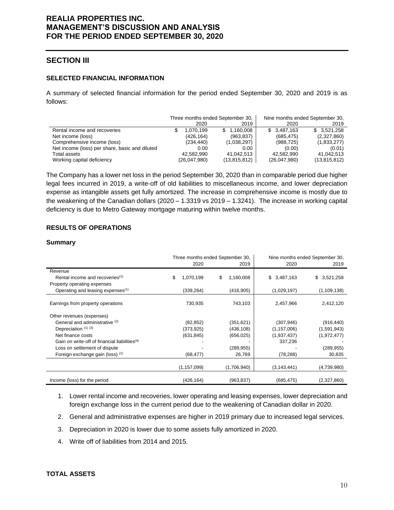### **SECTION III**

#### **SELECTED FINANCIAL INFORMATION**

A summary of selected financial information for the period ended September 30, 2020 and 2019 is as follows:

|                                                | Three months ended September 30, |                | Nine months ended September 30, |              |
|------------------------------------------------|----------------------------------|----------------|---------------------------------|--------------|
|                                                | 2020                             | 2019           | 2020                            | 2019         |
| Rental income and recoveries                   | 1.070.199                        | \$1.160.008    | \$3,487,163                     | \$3.521.258  |
| Net income (loss)                              | (426,164)                        | (963, 837)     | (685, 475)                      | (2,327,860)  |
| Comprehensive income (loss)                    | (234,440)                        | (1,038,297)    | (988, 725)                      | (1,833,277)  |
| Net income (loss) per share, basic and diluted | 0.00                             | 0.00           | (0.00)                          | (0.01)       |
| Total assets                                   | 42.582.990                       | 41,042,513     | 42,582,990                      | 41,042,513   |
| Working capital deficiency                     | (26,047,980)                     | (13, 815, 812) | (26,047,980)                    | (13,815,812) |

The Company has a lower net loss in the period September 30, 2020 than in comparable period due higher legal fees incurred in 2019, a write-off of old liabilities to miscellaneous income, and lower depreciation expense as intangible assets get fully amortized. The increase in comprehensive income is mostly due to the weakening of the Canadian dollars (2020 – 1.3319 vs 2019 – 1.3241). The increase in working capital deficiency is due to Metro Gateway mortgage maturing within twelve months.

### **RESULTS OF OPERATIONS**

#### **Summary**

|                                                           |                 | Three months ended September 30, | Nine months ended September 30, |                 |  |  |  |
|-----------------------------------------------------------|-----------------|----------------------------------|---------------------------------|-----------------|--|--|--|
|                                                           | 2020            | 2019                             | 2020                            | 2019            |  |  |  |
| Revenue                                                   |                 |                                  |                                 |                 |  |  |  |
| Rental income and recoveries <sup>(1)</sup>               | \$<br>1,070,199 | \$<br>1,160,008                  | \$<br>3,487,163                 | 3,521,258<br>S. |  |  |  |
| Property operating expenses                               |                 |                                  |                                 |                 |  |  |  |
| Operating and leasing expenses <sup>(1)</sup>             | (339, 264)      | (416, 905)                       | (1,029,197)                     | (1, 109, 138)   |  |  |  |
| Earnings from property operations                         | 730,935         | 743,103                          | 2,457,966                       | 2,412,120       |  |  |  |
| Other revenues (expenses)                                 |                 |                                  |                                 |                 |  |  |  |
| General and administrative (2)                            | (82, 852)       | (351, 621)                       | (307, 946)                      | (916, 440)      |  |  |  |
| Depreciation (1) (3)                                      | (373, 925)      | (436, 108)                       | (1, 157, 006)                   | (1,591,943)     |  |  |  |
| Net finance costs                                         | (631, 845)      | (656, 025)                       | (1,937,437)                     | (1,972,477)     |  |  |  |
| Gain on write-off of financial liabilities <sup>(4)</sup> |                 |                                  | 337,236                         |                 |  |  |  |
| Loss on settlement of dispute                             |                 | (289, 955)                       |                                 | (289, 955)      |  |  |  |
| Foreign exchange gain (loss) (1)                          | (68, 477)       | 26,769                           | (78, 288)                       | 30,835          |  |  |  |
|                                                           | (1, 157, 099)   | (1,706,940)                      | (3, 143, 441)                   | (4,739,980)     |  |  |  |
| Income (loss) for the period                              | (426, 164)      | (963, 837)                       | (685, 475)                      | (2,327,860)     |  |  |  |

- 1. Lower rental income and recoveries, lower operating and leasing expenses, lower depreciation and foreign exchange loss in the current period due to the weakening of Canadian dollar in 2020.
- 2. General and administrative expenses are higher in 2019 primary due to increased legal services.
- 3. Depreciation in 2020 is lower due to some assets fully amortized in 2020.
- 4. Write off of liabilities from 2014 and 2015.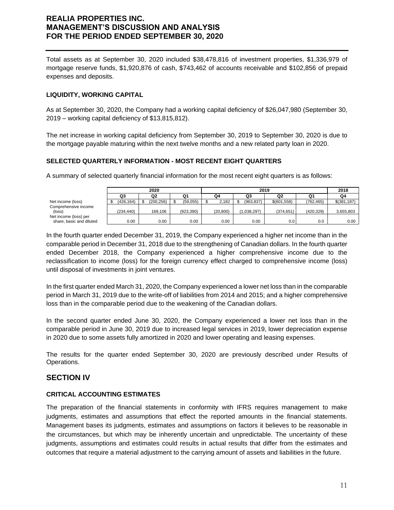Total assets as at September 30, 2020 included \$38,478,816 of investment properties, \$1,336,979 of mortgage reserve funds, \$1,920,876 of cash, \$743,462 of accounts receivable and \$102,856 of prepaid expenses and deposits.

### **LIQUIDITY, WORKING CAPITAL**

As at September 30, 2020, the Company had a working capital deficiency of \$26,047,980 (September 30, 2019 – working capital deficiency of \$13,815,812).

The net increase in working capital deficiency from September 30, 2019 to September 30, 2020 is due to the mortgage payable maturing within the next twelve months and a new related party loan in 2020.

### **SELECTED QUARTERLY INFORMATION - MOST RECENT EIGHT QUARTERS**

A summary of selected quarterly financial information for the most recent eight quarters is as follows:

|                          |           | 2020       |           | 2019 |           |  |             |  |                |  | 2018      |  |               |
|--------------------------|-----------|------------|-----------|------|-----------|--|-------------|--|----------------|--|-----------|--|---------------|
|                          | Q3        | Q2         | Q1        |      | Q4        |  | Q3          |  | Q <sub>2</sub> |  | Q1        |  | Q4            |
| Net income (loss)        | (426.164) | (200, 256) | (59,055)  |      | 2.182     |  | (963.837)   |  | \$(601,558)    |  | (762.465) |  | $$$ (381,187) |
| Comprehensive income     |           |            |           |      |           |  |             |  |                |  |           |  |               |
| $(\text{loss})$          | (234.440) | 169.106    | (923.390) |      | (20, 800) |  | (1.038.297) |  | (374.651)      |  | (420.329) |  | 3,655,803     |
| Net income (loss) per    |           |            |           |      |           |  |             |  |                |  |           |  |               |
| share, basic and diluted | 0.00      | 0.00       | 0.00      |      | $0.00\,$  |  | 0.00        |  | 0.0            |  | 0.0       |  | 0.00          |

In the fourth quarter ended December 31, 2019, the Company experienced a higher net income than in the comparable period in December 31, 2018 due to the strengthening of Canadian dollars. In the fourth quarter ended December 2018, the Company experienced a higher comprehensive income due to the reclassification to income (loss) for the foreign currency effect charged to comprehensive income (loss) until disposal of investments in joint ventures.

In the first quarter ended March 31, 2020, the Company experienced a lower net loss than in the comparable period in March 31, 2019 due to the write-off of liabilities from 2014 and 2015; and a higher comprehensive loss than in the comparable period due to the weakening of the Canadian dollars.

In the second quarter ended June 30, 2020, the Company experienced a lower net loss than in the comparable period in June 30, 2019 due to increased legal services in 2019, lower depreciation expense in 2020 due to some assets fully amortized in 2020 and lower operating and leasing expenses.

The results for the quarter ended September 30, 2020 are previously described under Results of Operations.

### **SECTION IV**

### **CRITICAL ACCOUNTING ESTIMATES**

The preparation of the financial statements in conformity with IFRS requires management to make judgments, estimates and assumptions that effect the reported amounts in the financial statements. Management bases its judgments, estimates and assumptions on factors it believes to be reasonable in the circumstances, but which may be inherently uncertain and unpredictable. The uncertainty of these judgments, assumptions and estimates could results in actual results that differ from the estimates and outcomes that require a material adjustment to the carrying amount of assets and liabilities in the future.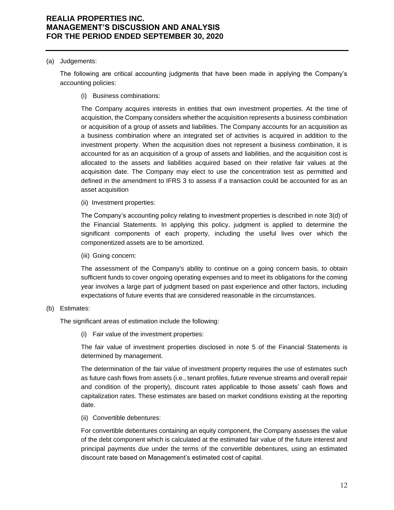#### (a) Judgements:

The following are critical accounting judgments that have been made in applying the Company's accounting policies:

(i) Business combinations:

The Company acquires interests in entities that own investment properties. At the time of acquisition, the Company considers whether the acquisition represents a business combination or acquisition of a group of assets and liabilities. The Company accounts for an acquisition as a business combination where an integrated set of activities is acquired in addition to the investment property. When the acquisition does not represent a business combination, it is accounted for as an acquisition of a group of assets and liabilities, and the acquisition cost is allocated to the assets and liabilities acquired based on their relative fair values at the acquisition date. The Company may elect to use the concentration test as permitted and defined in the amendment to IFRS 3 to assess if a transaction could be accounted for as an asset acquisition

(ii) Investment properties:

The Company's accounting policy relating to investment properties is described in note 3(d) of the Financial Statements. In applying this policy, judgment is applied to determine the significant components of each property, including the useful lives over which the componentized assets are to be amortized.

(iii) Going concern:

The assessment of the Company's ability to continue on a going concern basis, to obtain sufficient funds to cover ongoing operating expenses and to meet its obligations for the coming year involves a large part of judgment based on past experience and other factors, including expectations of future events that are considered reasonable in the circumstances.

### (b) Estimates:

The significant areas of estimation include the following:

(i) Fair value of the investment properties:

The fair value of investment properties disclosed in note 5 of the Financial Statements is determined by management.

The determination of the fair value of investment property requires the use of estimates such as future cash flows from assets (i.e., tenant profiles, future revenue streams and overall repair and condition of the property), discount rates applicable to those assets' cash flows and capitalization rates. These estimates are based on market conditions existing at the reporting date.

(ii) Convertible debentures:

For convertible debentures containing an equity component, the Company assesses the value of the debt component which is calculated at the estimated fair value of the future interest and principal payments due under the terms of the convertible debentures, using an estimated discount rate based on Management's estimated cost of capital.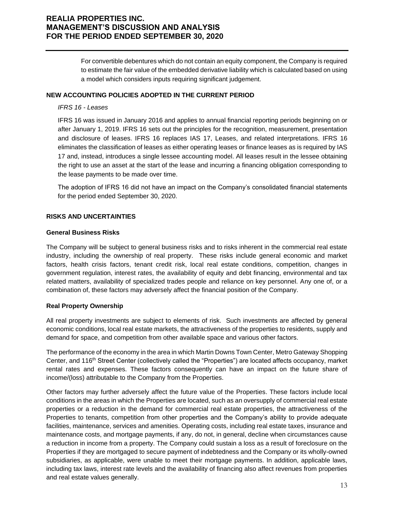For convertible debentures which do not contain an equity component, the Company is required to estimate the fair value of the embedded derivative liability which is calculated based on using a model which considers inputs requiring significant judgement.

#### **NEW ACCOUNTING POLICIES ADOPTED IN THE CURRENT PERIOD**

#### *IFRS 16 - Leases*

IFRS 16 was issued in January 2016 and applies to annual financial reporting periods beginning on or after January 1, 2019. IFRS 16 sets out the principles for the recognition, measurement, presentation and disclosure of leases. IFRS 16 replaces IAS 17, Leases, and related interpretations. IFRS 16 eliminates the classification of leases as either operating leases or finance leases as is required by IAS 17 and, instead, introduces a single lessee accounting model. All leases result in the lessee obtaining the right to use an asset at the start of the lease and incurring a financing obligation corresponding to the lease payments to be made over time.

The adoption of IFRS 16 did not have an impact on the Company's consolidated financial statements for the period ended September 30, 2020.

### **RISKS AND UNCERTAINTIES**

#### **General Business Risks**

The Company will be subject to general business risks and to risks inherent in the commercial real estate industry, including the ownership of real property. These risks include general economic and market factors, health crisis factors, tenant credit risk, local real estate conditions, competition, changes in government regulation, interest rates, the availability of equity and debt financing, environmental and tax related matters, availability of specialized trades people and reliance on key personnel. Any one of, or a combination of, these factors may adversely affect the financial position of the Company.

### **Real Property Ownership**

All real property investments are subject to elements of risk. Such investments are affected by general economic conditions, local real estate markets, the attractiveness of the properties to residents, supply and demand for space, and competition from other available space and various other factors.

The performance of the economy in the area in which Martin Downs Town Center, Metro Gateway Shopping Center, and 116<sup>th</sup> Street Center (collectively called the "Properties") are located affects occupancy, market rental rates and expenses. These factors consequently can have an impact on the future share of income/(loss) attributable to the Company from the Properties.

Other factors may further adversely affect the future value of the Properties. These factors include local conditions in the areas in which the Properties are located, such as an oversupply of commercial real estate properties or a reduction in the demand for commercial real estate properties, the attractiveness of the Properties to tenants, competition from other properties and the Company's ability to provide adequate facilities, maintenance, services and amenities. Operating costs, including real estate taxes, insurance and maintenance costs, and mortgage payments, if any, do not, in general, decline when circumstances cause a reduction in income from a property. The Company could sustain a loss as a result of foreclosure on the Properties if they are mortgaged to secure payment of indebtedness and the Company or its wholly-owned subsidiaries, as applicable, were unable to meet their mortgage payments. In addition, applicable laws, including tax laws, interest rate levels and the availability of financing also affect revenues from properties and real estate values generally.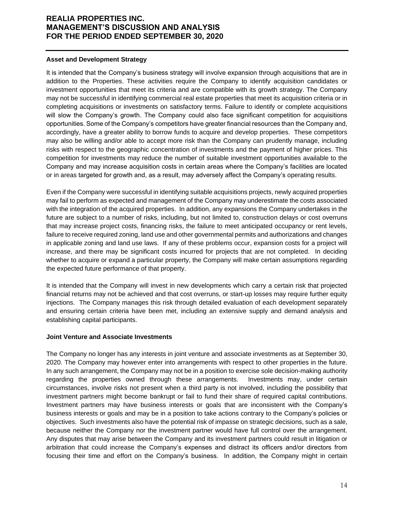#### **Asset and Development Strategy**

It is intended that the Company's business strategy will involve expansion through acquisitions that are in addition to the Properties. These activities require the Company to identify acquisition candidates or investment opportunities that meet its criteria and are compatible with its growth strategy. The Company may not be successful in identifying commercial real estate properties that meet its acquisition criteria or in completing acquisitions or investments on satisfactory terms. Failure to identify or complete acquisitions will slow the Company's growth. The Company could also face significant competition for acquisitions opportunities. Some of the Company's competitors have greater financial resources than the Company and, accordingly, have a greater ability to borrow funds to acquire and develop properties. These competitors may also be willing and/or able to accept more risk than the Company can prudently manage, including risks with respect to the geographic concentration of investments and the payment of higher prices. This competition for investments may reduce the number of suitable investment opportunities available to the Company and may increase acquisition costs in certain areas where the Company's facilities are located or in areas targeted for growth and, as a result, may adversely affect the Company's operating results.

Even if the Company were successful in identifying suitable acquisitions projects, newly acquired properties may fail to perform as expected and management of the Company may underestimate the costs associated with the integration of the acquired properties. In addition, any expansions the Company undertakes in the future are subject to a number of risks, including, but not limited to, construction delays or cost overruns that may increase project costs, financing risks, the failure to meet anticipated occupancy or rent levels, failure to receive required zoning, land use and other governmental permits and authorizations and changes in applicable zoning and land use laws. If any of these problems occur, expansion costs for a project will increase, and there may be significant costs incurred for projects that are not completed. In deciding whether to acquire or expand a particular property, the Company will make certain assumptions regarding the expected future performance of that property.

It is intended that the Company will invest in new developments which carry a certain risk that projected financial returns may not be achieved and that cost overruns, or start-up losses may require further equity injections. The Company manages this risk through detailed evaluation of each development separately and ensuring certain criteria have been met, including an extensive supply and demand analysis and establishing capital participants.

### **Joint Venture and Associate Investments**

The Company no longer has any interests in joint venture and associate investments as at September 30, 2020. The Company may however enter into arrangements with respect to other properties in the future. In any such arrangement, the Company may not be in a position to exercise sole decision-making authority regarding the properties owned through these arrangements. Investments may, under certain circumstances, involve risks not present when a third party is not involved, including the possibility that investment partners might become bankrupt or fail to fund their share of required capital contributions. Investment partners may have business interests or goals that are inconsistent with the Company's business interests or goals and may be in a position to take actions contrary to the Company's policies or objectives. Such investments also have the potential risk of impasse on strategic decisions, such as a sale, because neither the Company nor the investment partner would have full control over the arrangement. Any disputes that may arise between the Company and its investment partners could result in litigation or arbitration that could increase the Company's expenses and distract its officers and/or directors from focusing their time and effort on the Company's business. In addition, the Company might in certain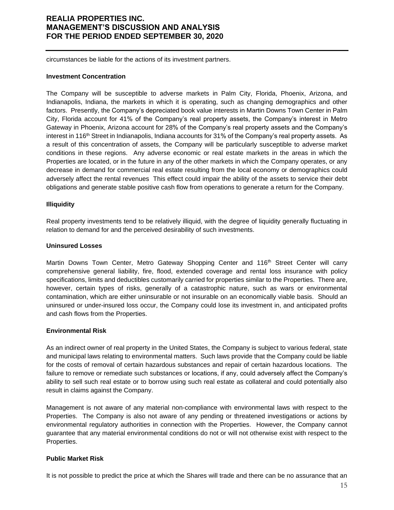circumstances be liable for the actions of its investment partners.

#### **Investment Concentration**

The Company will be susceptible to adverse markets in Palm City, Florida, Phoenix, Arizona, and Indianapolis, Indiana, the markets in which it is operating, such as changing demographics and other factors. Presently, the Company's depreciated book value interests in Martin Downs Town Center in Palm City, Florida account for 41% of the Company's real property assets, the Company's interest in Metro Gateway in Phoenix, Arizona account for 28% of the Company's real property assets and the Company's interest in 116<sup>th</sup> Street in Indianapolis, Indiana accounts for 31% of the Company's real property assets. As a result of this concentration of assets, the Company will be particularly susceptible to adverse market conditions in these regions. Any adverse economic or real estate markets in the areas in which the Properties are located, or in the future in any of the other markets in which the Company operates, or any decrease in demand for commercial real estate resulting from the local economy or demographics could adversely affect the rental revenues This effect could impair the ability of the assets to service their debt obligations and generate stable positive cash flow from operations to generate a return for the Company.

### **Illiquidity**

Real property investments tend to be relatively illiquid, with the degree of liquidity generally fluctuating in relation to demand for and the perceived desirability of such investments.

### **Uninsured Losses**

Martin Downs Town Center, Metro Gateway Shopping Center and 116<sup>th</sup> Street Center will carry comprehensive general liability, fire, flood, extended coverage and rental loss insurance with policy specifications, limits and deductibles customarily carried for properties similar to the Properties. There are, however, certain types of risks, generally of a catastrophic nature, such as wars or environmental contamination, which are either uninsurable or not insurable on an economically viable basis. Should an uninsured or under-insured loss occur, the Company could lose its investment in, and anticipated profits and cash flows from the Properties.

### **Environmental Risk**

As an indirect owner of real property in the United States, the Company is subject to various federal, state and municipal laws relating to environmental matters. Such laws provide that the Company could be liable for the costs of removal of certain hazardous substances and repair of certain hazardous locations. The failure to remove or remediate such substances or locations, if any, could adversely affect the Company's ability to sell such real estate or to borrow using such real estate as collateral and could potentially also result in claims against the Company.

Management is not aware of any material non-compliance with environmental laws with respect to the Properties. The Company is also not aware of any pending or threatened investigations or actions by environmental regulatory authorities in connection with the Properties. However, the Company cannot guarantee that any material environmental conditions do not or will not otherwise exist with respect to the Properties.

### **Public Market Risk**

It is not possible to predict the price at which the Shares will trade and there can be no assurance that an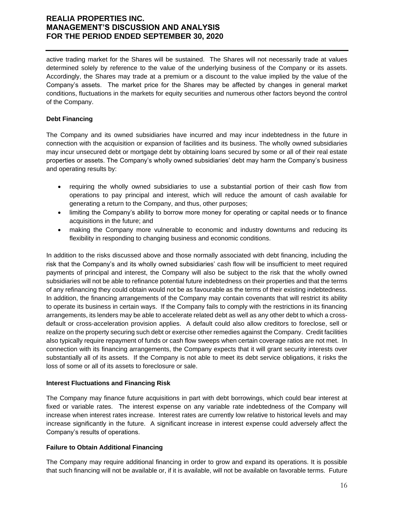active trading market for the Shares will be sustained. The Shares will not necessarily trade at values determined solely by reference to the value of the underlying business of the Company or its assets. Accordingly, the Shares may trade at a premium or a discount to the value implied by the value of the Company's assets. The market price for the Shares may be affected by changes in general market conditions, fluctuations in the markets for equity securities and numerous other factors beyond the control of the Company.

### **Debt Financing**

The Company and its owned subsidiaries have incurred and may incur indebtedness in the future in connection with the acquisition or expansion of facilities and its business. The wholly owned subsidiaries may incur unsecured debt or mortgage debt by obtaining loans secured by some or all of their real estate properties or assets. The Company's wholly owned subsidiaries' debt may harm the Company's business and operating results by:

- requiring the wholly owned subsidiaries to use a substantial portion of their cash flow from operations to pay principal and interest, which will reduce the amount of cash available for generating a return to the Company, and thus, other purposes;
- limiting the Company's ability to borrow more money for operating or capital needs or to finance acquisitions in the future; and
- making the Company more vulnerable to economic and industry downturns and reducing its flexibility in responding to changing business and economic conditions.

In addition to the risks discussed above and those normally associated with debt financing, including the risk that the Company's and its wholly owned subsidiaries' cash flow will be insufficient to meet required payments of principal and interest, the Company will also be subject to the risk that the wholly owned subsidiaries will not be able to refinance potential future indebtedness on their properties and that the terms of any refinancing they could obtain would not be as favourable as the terms of their existing indebtedness. In addition, the financing arrangements of the Company may contain covenants that will restrict its ability to operate its business in certain ways. If the Company fails to comply with the restrictions in its financing arrangements, its lenders may be able to accelerate related debt as well as any other debt to which a crossdefault or cross-acceleration provision applies. A default could also allow creditors to foreclose, sell or realize on the property securing such debt or exercise other remedies against the Company. Credit facilities also typically require repayment of funds or cash flow sweeps when certain coverage ratios are not met. In connection with its financing arrangements, the Company expects that it will grant security interests over substantially all of its assets. If the Company is not able to meet its debt service obligations, it risks the loss of some or all of its assets to foreclosure or sale.

### **Interest Fluctuations and Financing Risk**

The Company may finance future acquisitions in part with debt borrowings, which could bear interest at fixed or variable rates. The interest expense on any variable rate indebtedness of the Company will increase when interest rates increase. Interest rates are currently low relative to historical levels and may increase significantly in the future. A significant increase in interest expense could adversely affect the Company's results of operations.

### **Failure to Obtain Additional Financing**

The Company may require additional financing in order to grow and expand its operations. It is possible that such financing will not be available or, if it is available, will not be available on favorable terms. Future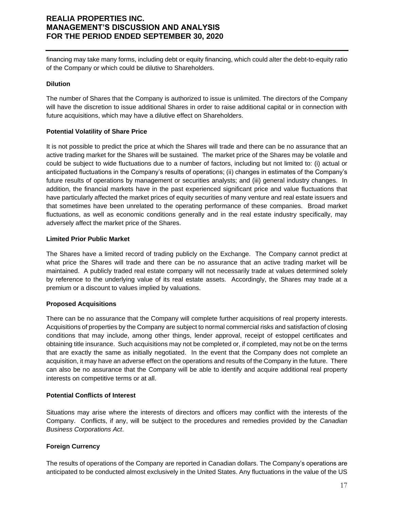financing may take many forms, including debt or equity financing, which could alter the debt-to-equity ratio of the Company or which could be dilutive to Shareholders.

#### **Dilution**

The number of Shares that the Company is authorized to issue is unlimited. The directors of the Company will have the discretion to issue additional Shares in order to raise additional capital or in connection with future acquisitions, which may have a dilutive effect on Shareholders.

#### **Potential Volatility of Share Price**

It is not possible to predict the price at which the Shares will trade and there can be no assurance that an active trading market for the Shares will be sustained. The market price of the Shares may be volatile and could be subject to wide fluctuations due to a number of factors, including but not limited to: (i) actual or anticipated fluctuations in the Company's results of operations; (ii) changes in estimates of the Company's future results of operations by management or securities analysts; and (iii) general industry changes. In addition, the financial markets have in the past experienced significant price and value fluctuations that have particularly affected the market prices of equity securities of many venture and real estate issuers and that sometimes have been unrelated to the operating performance of these companies. Broad market fluctuations, as well as economic conditions generally and in the real estate industry specifically, may adversely affect the market price of the Shares.

#### **Limited Prior Public Market**

The Shares have a limited record of trading publicly on the Exchange. The Company cannot predict at what price the Shares will trade and there can be no assurance that an active trading market will be maintained. A publicly traded real estate company will not necessarily trade at values determined solely by reference to the underlying value of its real estate assets. Accordingly, the Shares may trade at a premium or a discount to values implied by valuations.

### **Proposed Acquisitions**

There can be no assurance that the Company will complete further acquisitions of real property interests. Acquisitions of properties by the Company are subject to normal commercial risks and satisfaction of closing conditions that may include, among other things, lender approval, receipt of estoppel certificates and obtaining title insurance. Such acquisitions may not be completed or, if completed, may not be on the terms that are exactly the same as initially negotiated. In the event that the Company does not complete an acquisition, it may have an adverse effect on the operations and results of the Company in the future. There can also be no assurance that the Company will be able to identify and acquire additional real property interests on competitive terms or at all.

### **Potential Conflicts of Interest**

Situations may arise where the interests of directors and officers may conflict with the interests of the Company. Conflicts, if any, will be subject to the procedures and remedies provided by the *Canadian Business Corporations Act*.

### **Foreign Currency**

The results of operations of the Company are reported in Canadian dollars. The Company's operations are anticipated to be conducted almost exclusively in the United States. Any fluctuations in the value of the US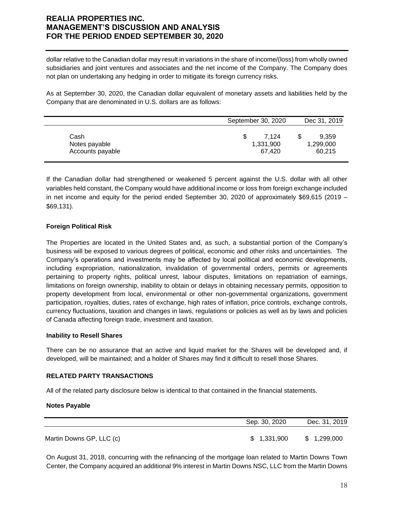dollar relative to the Canadian dollar may result in variations in the share of income/(loss) from wholly owned subsidiaries and joint ventures and associates and the net income of the Company. The Company does not plan on undertaking any hedging in order to mitigate its foreign currency risks.

As at September 30, 2020, the Canadian dollar equivalent of monetary assets and liabilities held by the Company that are denominated in U.S. dollars are as follows:

|                  | September 30, 2020 | Dec 31, 2019 |
|------------------|--------------------|--------------|
| Cash             | 7.124              | 9.359        |
| Notes payable    | 1,331,900          | 1,299,000    |
| Accounts payable | 67.420             | 60,215       |

If the Canadian dollar had strengthened or weakened 5 percent against the U.S. dollar with all other variables held constant, the Company would have additional income or loss from foreign exchange included in net income and equity for the period ended September 30, 2020 of approximately \$69,615 (2019 – \$69,131).

### **Foreign Political Risk**

The Properties are located in the United States and, as such, a substantial portion of the Company's business will be exposed to various degrees of political, economic and other risks and uncertainties. The Company's operations and investments may be affected by local political and economic developments, including expropriation, nationalization, invalidation of governmental orders, permits or agreements pertaining to property rights, political unrest, labour disputes, limitations on repatriation of earnings, limitations on foreign ownership, inability to obtain or delays in obtaining necessary permits, opposition to property development from local, environmental or other non-governmental organizations, government participation, royalties, duties, rates of exchange, high rates of inflation, price controls, exchange controls, currency fluctuations, taxation and changes in laws, regulations or policies as well as by laws and policies of Canada affecting foreign trade, investment and taxation.

### **Inability to Resell Shares**

There can be no assurance that an active and liquid market for the Shares will be developed and, if developed, will be maintained; and a holder of Shares may find it difficult to resell those Shares.

### **RELATED PARTY TRANSACTIONS**

All of the related party disclosure below is identical to that contained in the financial statements.

#### **Notes Payable**

|                          | Sep. 30, 2020 | Dec. 31, 2019 |
|--------------------------|---------------|---------------|
| Martin Downs GP, LLC (c) | \$1,331,900   | \$1,299,000   |

On August 31, 2018, concurring with the refinancing of the mortgage loan related to Martin Downs Town Center, the Company acquired an additional 9% interest in Martin Downs NSC, LLC from the Martin Downs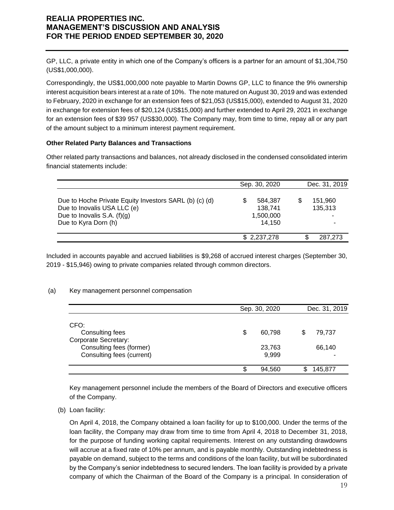GP, LLC, a private entity in which one of the Company's officers is a partner for an amount of \$1,304,750 (US\$1,000,000).

Correspondingly, the US\$1,000,000 note payable to Martin Downs GP, LLC to finance the 9% ownership interest acquisition bears interest at a rate of 10%. The note matured on August 30, 2019 and was extended to February, 2020 in exchange for an extension fees of \$21,053 (US\$15,000), extended to August 31, 2020 in exchange for extension fees of \$20,124 (US\$15,000) and further extended to April 29, 2021 in exchange for an extension fees of \$39 957 (US\$30,000). The Company may, from time to time, repay all or any part of the amount subject to a minimum interest payment requirement.

### **Other Related Party Balances and Transactions**

Other related party transactions and balances, not already disclosed in the condensed consolidated interim financial statements include:

|                                                                                                                                                | Sep. 30, 2020                                  | Dec. 31, 2019           |
|------------------------------------------------------------------------------------------------------------------------------------------------|------------------------------------------------|-------------------------|
| Due to Hoche Private Equity Investors SARL (b) (c) (d)<br>Due to Inovalis USA LLC (e)<br>Due to Inovalis S.A. $(f)(g)$<br>Due to Kyra Dorn (h) | 584,387<br>S<br>138.741<br>1,500,000<br>14.150 | 151,960<br>135,313<br>٠ |
|                                                                                                                                                | \$2,237,278                                    | 287,273<br>S            |

Included in accounts payable and accrued liabilities is \$9,268 of accrued interest charges (September 30, 2019 - \$15,946) owing to private companies related through common directors.

### (a) Key management personnel compensation

|                             | Sep. 30, 2020 | Dec. 31, 2019 |  |         |  |
|-----------------------------|---------------|---------------|--|---------|--|
| CFO:                        |               |               |  |         |  |
| Consulting fees             | S             | 60,798        |  | 79,737  |  |
| <b>Corporate Secretary:</b> |               |               |  |         |  |
| Consulting fees (former)    |               | 23,763        |  | 66,140  |  |
| Consulting fees (current)   |               | 9,999         |  |         |  |
|                             |               | 94,560        |  | 145,877 |  |

Key management personnel include the members of the Board of Directors and executive officers of the Company.

(b) Loan facility:

On April 4, 2018, the Company obtained a loan facility for up to \$100,000. Under the terms of the loan facility, the Company may draw from time to time from April 4, 2018 to December 31, 2018, for the purpose of funding working capital requirements. Interest on any outstanding drawdowns will accrue at a fixed rate of 10% per annum, and is payable monthly. Outstanding indebtedness is payable on demand, subject to the terms and conditions of the loan facility, but will be subordinated by the Company's senior indebtedness to secured lenders. The loan facility is provided by a private company of which the Chairman of the Board of the Company is a principal. In consideration of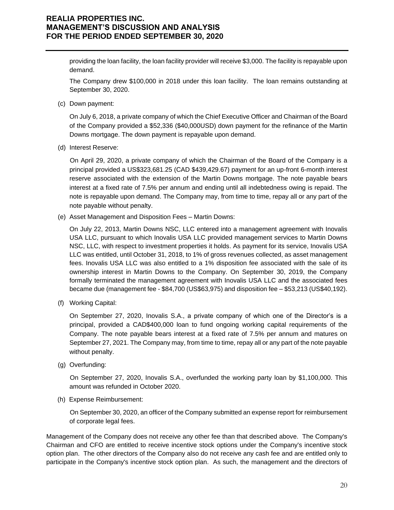providing the loan facility, the loan facility provider will receive \$3,000. The facility is repayable upon demand.

The Company drew \$100,000 in 2018 under this loan facility. The loan remains outstanding at September 30, 2020.

(c) Down payment:

On July 6, 2018, a private company of which the Chief Executive Officer and Chairman of the Board of the Company provided a \$52,336 (\$40,000USD) down payment for the refinance of the Martin Downs mortgage. The down payment is repayable upon demand.

(d) Interest Reserve:

On April 29, 2020, a private company of which the Chairman of the Board of the Company is a principal provided a US\$323,681.25 (CAD \$439,429.67) payment for an up-front 6-month interest reserve associated with the extension of the Martin Downs mortgage. The note payable bears interest at a fixed rate of 7.5% per annum and ending until all indebtedness owing is repaid. The note is repayable upon demand. The Company may, from time to time, repay all or any part of the note payable without penalty.

(e) Asset Management and Disposition Fees – Martin Downs:

On July 22, 2013, Martin Downs NSC, LLC entered into a management agreement with Inovalis USA LLC, pursuant to which Inovalis USA LLC provided management services to Martin Downs NSC, LLC, with respect to investment properties it holds. As payment for its service, Inovalis USA LLC was entitled, until October 31, 2018, to 1% of gross revenues collected, as asset management fees. Inovalis USA LLC was also entitled to a 1% disposition fee associated with the sale of its ownership interest in Martin Downs to the Company. On September 30, 2019, the Company formally terminated the management agreement with Inovalis USA LLC and the associated fees became due (management fee - \$84,700 (US\$63,975) and disposition fee – \$53,213 (US\$40,192).

(f) Working Capital:

On September 27, 2020, Inovalis S.A., a private company of which one of the Director's is a principal, provided a CAD\$400,000 loan to fund ongoing working capital requirements of the Company. The note payable bears interest at a fixed rate of 7.5% per annum and matures on September 27, 2021. The Company may, from time to time, repay all or any part of the note payable without penalty.

(g) Overfunding:

On September 27, 2020, Inovalis S.A., overfunded the working party loan by \$1,100,000. This amount was refunded in October 2020.

(h) Expense Reimbursement:

On September 30, 2020, an officer of the Company submitted an expense report for reimbursement of corporate legal fees.

Management of the Company does not receive any other fee than that described above. The Company's Chairman and CFO are entitled to receive incentive stock options under the Company's incentive stock option plan. The other directors of the Company also do not receive any cash fee and are entitled only to participate in the Company's incentive stock option plan. As such, the management and the directors of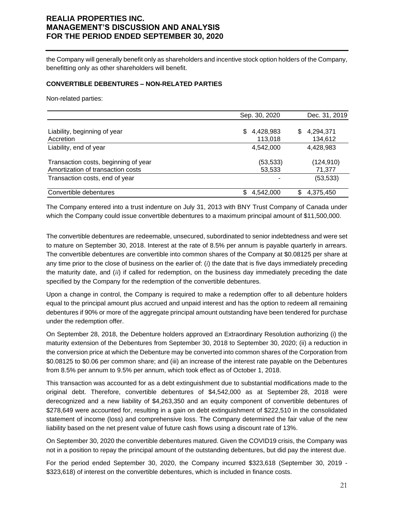the Company will generally benefit only as shareholders and incentive stock option holders of the Company, benefitting only as other shareholders will benefit.

#### **CONVERTIBLE DEBENTURES – NON-RELATED PARTIES**

Non-related parties:

|                                      | Sep. 30, 2020   | Dec. 31, 2019   |
|--------------------------------------|-----------------|-----------------|
| Liability, beginning of year         | 4,428,983<br>S. | 4,294,371<br>S  |
| Accretion                            | 113,018         | 134,612         |
| Liability, end of year               | 4,542,000       | 4,428,983       |
| Transaction costs, beginning of year | (53,533)        | (124, 910)      |
| Amortization of transaction costs    | 53,533          | 71,377          |
| Transaction costs, end of year       | ۰               | (53, 533)       |
| Convertible debentures               | 4,542,000       | \$<br>4,375,450 |

The Company entered into a trust indenture on July 31, 2013 with BNY Trust Company of Canada under which the Company could issue convertible debentures to a maximum principal amount of \$11,500,000.

The convertible debentures are redeemable, unsecured, subordinated to senior indebtedness and were set to mature on September 30, 2018. Interest at the rate of 8.5% per annum is payable quarterly in arrears. The convertible debentures are convertible into common shares of the Company at \$0.08125 per share at any time prior to the close of business on the earlier of: (*i*) the date that is five days immediately preceding the maturity date, and (*ii*) if called for redemption, on the business day immediately preceding the date specified by the Company for the redemption of the convertible debentures.

Upon a change in control, the Company is required to make a redemption offer to all debenture holders equal to the principal amount plus accrued and unpaid interest and has the option to redeem all remaining debentures if 90% or more of the aggregate principal amount outstanding have been tendered for purchase under the redemption offer.

On September 28, 2018, the Debenture holders approved an Extraordinary Resolution authorizing (i) the maturity extension of the Debentures from September 30, 2018 to September 30, 2020; (ii) a reduction in the conversion price at which the Debenture may be converted into common shares of the Corporation from \$0.08125 to \$0.06 per common share; and (iii) an increase of the interest rate payable on the Debentures from 8.5% per annum to 9.5% per annum, which took effect as of October 1, 2018.

This transaction was accounted for as a debt extinguishment due to substantial modifications made to the original debt. Therefore, convertible debentures of \$4,542,000 as at September 28, 2018 were derecognized and a new liability of \$4,263,350 and an equity component of convertible debentures of \$278,649 were accounted for, resulting in a gain on debt extinguishment of \$222,510 in the consolidated statement of income (loss) and comprehensive loss. The Company determined the fair value of the new liability based on the net present value of future cash flows using a discount rate of 13%.

On September 30, 2020 the convertible debentures matured. Given the COVID19 crisis, the Company was not in a position to repay the principal amount of the outstanding debentures, but did pay the interest due.

For the period ended September 30, 2020, the Company incurred \$323,618 (September 30, 2019 - \$323,618) of interest on the convertible debentures, which is included in finance costs.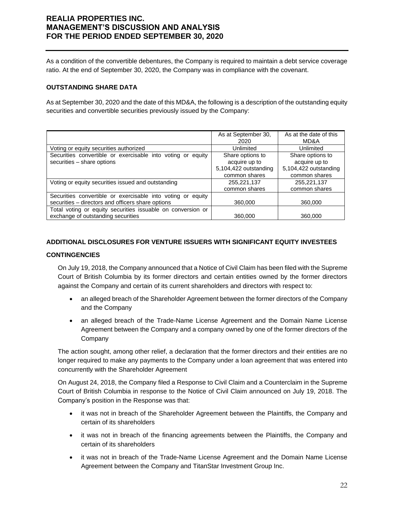As a condition of the convertible debentures, the Company is required to maintain a debt service coverage ratio. At the end of September 30, 2020, the Company was in compliance with the covenant.

### **OUTSTANDING SHARE DATA**

As at September 30, 2020 and the date of this MD&A, the following is a description of the outstanding equity securities and convertible securities previously issued by the Company:

|                                                             | As at September 30,   | As at the date of this |
|-------------------------------------------------------------|-----------------------|------------------------|
|                                                             | 2020                  | MD&A                   |
| Voting or equity securities authorized                      | Unlimited             | Unlimited              |
| Securities convertible or exercisable into voting or equity | Share options to      | Share options to       |
| securities - share options                                  | acquire up to         | acquire up to          |
|                                                             | 5,104,422 outstanding | 5,104,422 outstanding  |
|                                                             | common shares         | common shares          |
| Voting or equity securities issued and outstanding          | 255,221,137           | 255,221,137            |
|                                                             | common shares         | common shares          |
| Securities convertible or exercisable into voting or equity |                       |                        |
| securities - directors and officers share options           | 360,000               | 360,000                |
| Total voting or equity securities issuable on conversion or |                       |                        |
| exchange of outstanding securities                          | 360,000               | 360,000                |

### **ADDITIONAL DISCLOSURES FOR VENTURE ISSUERS WITH SIGNIFICANT EQUITY INVESTEES**

### **CONTINGENCIES**

On July 19, 2018, the Company announced that a Notice of Civil Claim has been filed with the Supreme Court of British Columbia by its former directors and certain entities owned by the former directors against the Company and certain of its current shareholders and directors with respect to:

- an alleged breach of the Shareholder Agreement between the former directors of the Company and the Company
- an alleged breach of the Trade-Name License Agreement and the Domain Name License Agreement between the Company and a company owned by one of the former directors of the Company

The action sought, among other relief, a declaration that the former directors and their entities are no longer required to make any payments to the Company under a loan agreement that was entered into concurrently with the Shareholder Agreement

On August 24, 2018, the Company filed a Response to Civil Claim and a Counterclaim in the Supreme Court of British Columbia in response to the Notice of Civil Claim announced on July 19, 2018. The Company's position in the Response was that:

- it was not in breach of the Shareholder Agreement between the Plaintiffs, the Company and certain of its shareholders
- it was not in breach of the financing agreements between the Plaintiffs, the Company and certain of its shareholders
- it was not in breach of the Trade-Name License Agreement and the Domain Name License Agreement between the Company and TitanStar Investment Group Inc.